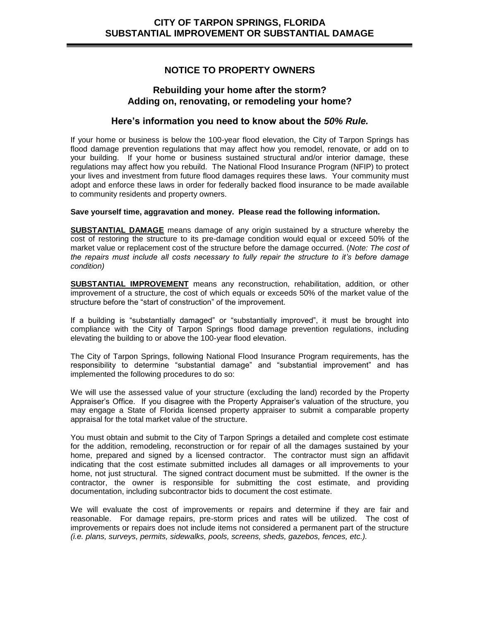# **NOTICE TO PROPERTY OWNERS**

## **Rebuilding your home after the storm? Adding on, renovating, or remodeling your home?**

## **Here's information you need to know about the** *50% Rule.*

If your home or business is below the 100-year flood elevation, the City of Tarpon Springs has flood damage prevention regulations that may affect how you remodel, renovate, or add on to your building. If your home or business sustained structural and/or interior damage, these regulations may affect how you rebuild. The National Flood Insurance Program (NFIP) to protect your lives and investment from future flood damages requires these laws. Your community must adopt and enforce these laws in order for federally backed flood insurance to be made available to community residents and property owners.

#### **Save yourself time, aggravation and money. Please read the following information.**

**SUBSTANTIAL DAMAGE** means damage of any origin sustained by a structure whereby the cost of restoring the structure to its pre-damage condition would equal or exceed 50% of the market value or replacement cost of the structure before the damage occurred. (*Note: The cost of the repairs must include all costs necessary to fully repair the structure to it's before damage condition)*

**SUBSTANTIAL IMPROVEMENT** means any reconstruction, rehabilitation, addition, or other improvement of a structure, the cost of which equals or exceeds 50% of the market value of the structure before the "start of construction" of the improvement.

If a building is "substantially damaged" or "substantially improved", it must be brought into compliance with the City of Tarpon Springs flood damage prevention regulations, including elevating the building to or above the 100-year flood elevation.

The City of Tarpon Springs, following National Flood Insurance Program requirements, has the responsibility to determine "substantial damage" and "substantial improvement" and has implemented the following procedures to do so:

We will use the assessed value of your structure (excluding the land) recorded by the Property Appraiser's Office. If you disagree with the Property Appraiser's valuation of the structure, you may engage a State of Florida licensed property appraiser to submit a comparable property appraisal for the total market value of the structure.

You must obtain and submit to the City of Tarpon Springs a detailed and complete cost estimate for the addition, remodeling, reconstruction or for repair of all the damages sustained by your home, prepared and signed by a licensed contractor. The contractor must sign an affidavit indicating that the cost estimate submitted includes all damages or all improvements to your home, not just structural. The signed contract document must be submitted. If the owner is the contractor, the owner is responsible for submitting the cost estimate, and providing documentation, including subcontractor bids to document the cost estimate.

We will evaluate the cost of improvements or repairs and determine if they are fair and reasonable. For damage repairs, pre-storm prices and rates will be utilized. The cost of improvements or repairs does not include items not considered a permanent part of the structure *(i.e. plans, surveys, permits, sidewalks, pools, screens, sheds, gazebos, fences, etc.).*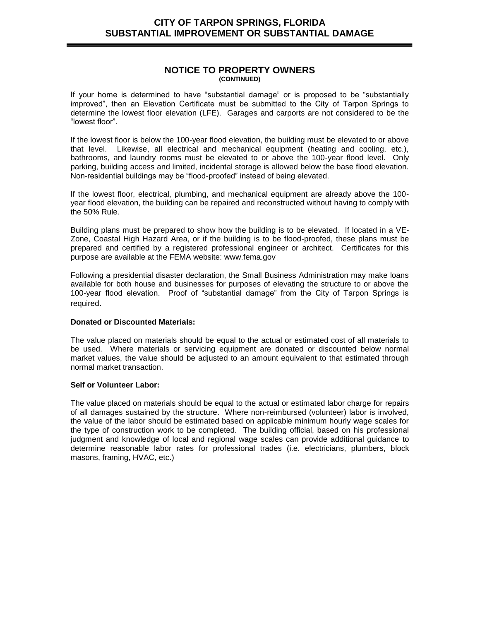### **NOTICE TO PROPERTY OWNERS (CONTINUED)**

If your home is determined to have "substantial damage" or is proposed to be "substantially improved", then an Elevation Certificate must be submitted to the City of Tarpon Springs to determine the lowest floor elevation (LFE). Garages and carports are not considered to be the "lowest floor".

If the lowest floor is below the 100-year flood elevation, the building must be elevated to or above that level. Likewise, all electrical and mechanical equipment (heating and cooling, etc.), bathrooms, and laundry rooms must be elevated to or above the 100-year flood level. Only parking, building access and limited, incidental storage is allowed below the base flood elevation. Non-residential buildings may be "flood-proofed" instead of being elevated.

If the lowest floor, electrical, plumbing, and mechanical equipment are already above the 100 year flood elevation, the building can be repaired and reconstructed without having to comply with the 50% Rule.

Building plans must be prepared to show how the building is to be elevated. If located in a VE-Zone, Coastal High Hazard Area, or if the building is to be flood-proofed, these plans must be prepared and certified by a registered professional engineer or architect. Certificates for this purpose are available at the FEMA website: www.fema.gov

Following a presidential disaster declaration, the Small Business Administration may make loans available for both house and businesses for purposes of elevating the structure to or above the 100-year flood elevation. Proof of "substantial damage" from the City of Tarpon Springs is required.

#### **Donated or Discounted Materials:**

The value placed on materials should be equal to the actual or estimated cost of all materials to be used. Where materials or servicing equipment are donated or discounted below normal market values, the value should be adjusted to an amount equivalent to that estimated through normal market transaction.

#### **Self or Volunteer Labor:**

The value placed on materials should be equal to the actual or estimated labor charge for repairs of all damages sustained by the structure. Where non-reimbursed (volunteer) labor is involved, the value of the labor should be estimated based on applicable minimum hourly wage scales for the type of construction work to be completed. The building official, based on his professional judgment and knowledge of local and regional wage scales can provide additional guidance to determine reasonable labor rates for professional trades (i.e. electricians, plumbers, block masons, framing, HVAC, etc.)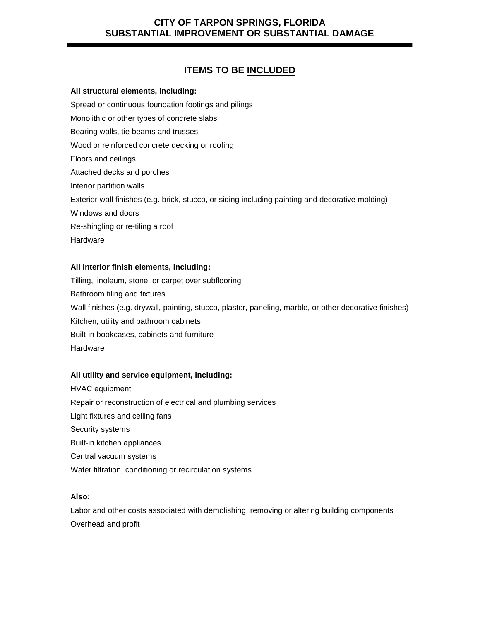# **ITEMS TO BE INCLUDED**

#### **All structural elements, including:**

Spread or continuous foundation footings and pilings

Monolithic or other types of concrete slabs

Bearing walls, tie beams and trusses

Wood or reinforced concrete decking or roofing

Floors and ceilings

Attached decks and porches

Interior partition walls

Exterior wall finishes (e.g. brick, stucco, or siding including painting and decorative molding)

Windows and doors

Re-shingling or re-tiling a roof

Hardware

### **All interior finish elements, including:**

Tilling, linoleum, stone, or carpet over subflooring Bathroom tiling and fixtures Wall finishes (e.g. drywall, painting, stucco, plaster, paneling, marble, or other decorative finishes) Kitchen, utility and bathroom cabinets Built-in bookcases, cabinets and furniture **Hardware** 

### **All utility and service equipment, including:**

HVAC equipment Repair or reconstruction of electrical and plumbing services Light fixtures and ceiling fans Security systems Built-in kitchen appliances Central vacuum systems Water filtration, conditioning or recirculation systems

#### **Also:**

Labor and other costs associated with demolishing, removing or altering building components Overhead and profit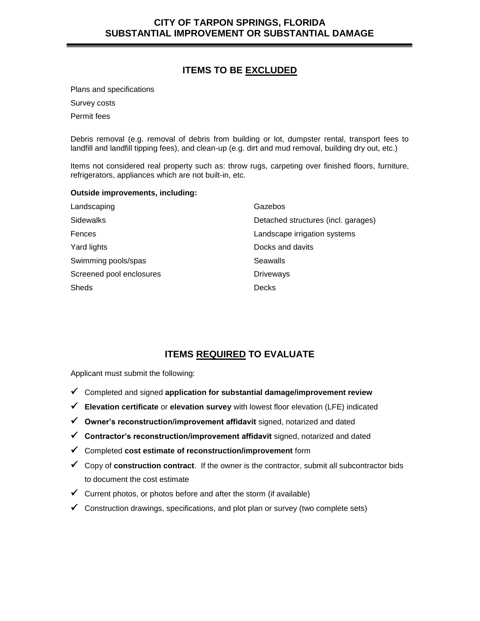# **ITEMS TO BE EXCLUDED**

Plans and specifications

Survey costs

Permit fees

Debris removal (e.g. removal of debris from building or lot, dumpster rental, transport fees to landfill and landfill tipping fees), and clean-up (e.g. dirt and mud removal, building dry out, etc.)

Items not considered real property such as: throw rugs, carpeting over finished floors, furniture, refrigerators, appliances which are not built-in, etc.

#### **Outside improvements, including:**

| Landscaping              | Gazebos                             |
|--------------------------|-------------------------------------|
| <b>Sidewalks</b>         | Detached structures (incl. garages) |
| Fences                   | Landscape irrigation systems        |
| Yard lights              | Docks and davits                    |
| Swimming pools/spas      | Seawalls                            |
| Screened pool enclosures | <b>Driveways</b>                    |
| <b>Sheds</b>             | <b>Decks</b>                        |

# **ITEMS REQUIRED TO EVALUATE**

Applicant must submit the following:

- Completed and signed **application for substantial damage/improvement review**
- **Elevation certificate** or **elevation survey** with lowest floor elevation (LFE) indicated
- **Owner's reconstruction/improvement affidavit** signed, notarized and dated
- **Contractor's reconstruction/improvement affidavit** signed, notarized and dated
- Completed **cost estimate of reconstruction/improvement** form
- Copy of **construction contract**. If the owner is the contractor, submit all subcontractor bids to document the cost estimate
- $\checkmark$  Current photos, or photos before and after the storm (if available)
- Construction drawings, specifications, and plot plan or survey (two complete sets)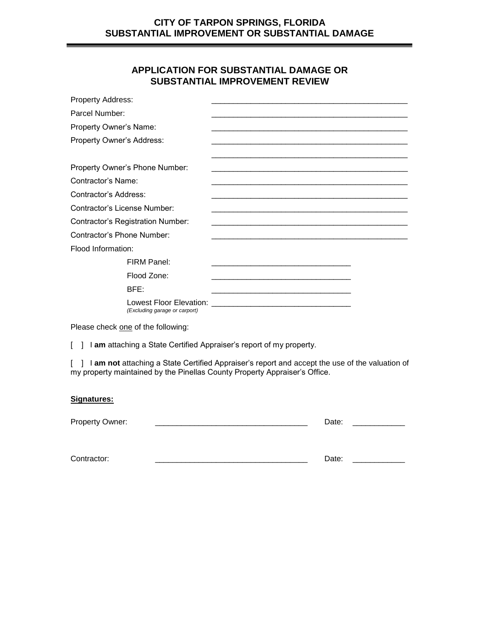# **APPLICATION FOR SUBSTANTIAL DAMAGE OR SUBSTANTIAL IMPROVEMENT REVIEW**

| <b>Property Address:</b>                 |                                                          |                                                                                                                                                                                                                                      |  |
|------------------------------------------|----------------------------------------------------------|--------------------------------------------------------------------------------------------------------------------------------------------------------------------------------------------------------------------------------------|--|
| Parcel Number:                           |                                                          |                                                                                                                                                                                                                                      |  |
| Property Owner's Name:                   |                                                          |                                                                                                                                                                                                                                      |  |
| Property Owner's Address:                |                                                          |                                                                                                                                                                                                                                      |  |
|                                          |                                                          |                                                                                                                                                                                                                                      |  |
|                                          | Property Owner's Phone Number:                           |                                                                                                                                                                                                                                      |  |
| Contractor's Name:                       |                                                          |                                                                                                                                                                                                                                      |  |
| Contractor's Address:                    |                                                          | and the state of the state of the state of the state of the state of the state of the state of the state of the                                                                                                                      |  |
| Contractor's License Number:             |                                                          |                                                                                                                                                                                                                                      |  |
| <b>Contractor's Registration Number:</b> |                                                          |                                                                                                                                                                                                                                      |  |
| Contractor's Phone Number:               |                                                          |                                                                                                                                                                                                                                      |  |
| Flood Information:                       |                                                          |                                                                                                                                                                                                                                      |  |
|                                          | FIRM Panel:                                              |                                                                                                                                                                                                                                      |  |
|                                          | Flood Zone:                                              |                                                                                                                                                                                                                                      |  |
|                                          | BFE:                                                     |                                                                                                                                                                                                                                      |  |
|                                          | Lowest Floor Elevation:<br>(Excluding garage or carport) | <b>Contract Contract Contract Contract Contract Contract Contract Contract Contract Contract Contract Contract Contract Contract Contract Contract Contract Contract Contract Contract Contract Contract Contract Contract Contr</b> |  |

Please check one of the following:

[  $\mid$  **| am** attaching a State Certified Appraiser's report of my property.

[ ] I **am not** attaching a State Certified Appraiser's report and accept the use of the valuation of my property maintained by the Pinellas County Property Appraiser's Office.

### **Signatures:**

| Propert<br>Jwner <sup>.</sup><br>$\mathbf{v}$<br>. |  |  |  |
|----------------------------------------------------|--|--|--|
|----------------------------------------------------|--|--|--|

| $\sum_{i=1}^{n}$<br>.<br>u or<br>OI |  |  |
|-------------------------------------|--|--|
|-------------------------------------|--|--|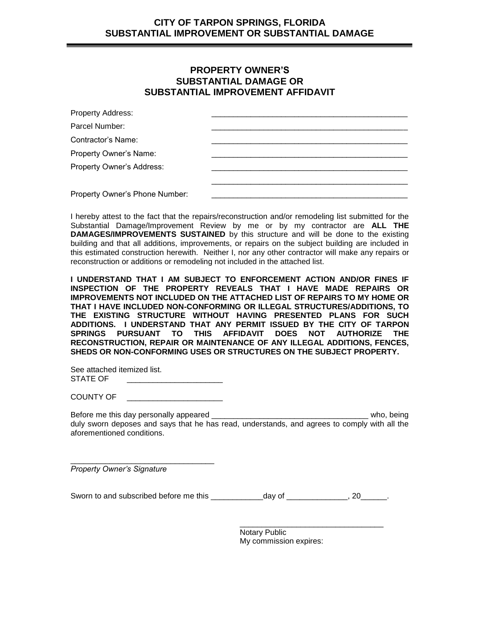## **PROPERTY OWNER'S SUBSTANTIAL DAMAGE OR SUBSTANTIAL IMPROVEMENT AFFIDAVIT**

| Property Address:              |  |
|--------------------------------|--|
| Parcel Number:                 |  |
| Contractor's Name:             |  |
| Property Owner's Name:         |  |
| Property Owner's Address:      |  |
|                                |  |
| Property Owner's Phone Number: |  |

I hereby attest to the fact that the repairs/reconstruction and/or remodeling list submitted for the Substantial Damage/Improvement Review by me or by my contractor are **ALL THE DAMAGES/IMPROVEMENTS SUSTAINED** by this structure and will be done to the existing building and that all additions, improvements, or repairs on the subject building are included in this estimated construction herewith. Neither I, nor any other contractor will make any repairs or reconstruction or additions or remodeling not included in the attached list.

**I UNDERSTAND THAT I AM SUBJECT TO ENFORCEMENT ACTION AND/OR FINES IF INSPECTION OF THE PROPERTY REVEALS THAT I HAVE MADE REPAIRS OR IMPROVEMENTS NOT INCLUDED ON THE ATTACHED LIST OF REPAIRS TO MY HOME OR THAT I HAVE INCLUDED NON-CONFORMING OR ILLEGAL STRUCTURES/ADDITIONS, TO THE EXISTING STRUCTURE WITHOUT HAVING PRESENTED PLANS FOR SUCH ADDITIONS. I UNDERSTAND THAT ANY PERMIT ISSUED BY THE CITY OF TARPON SPRINGS PURSUANT TO THIS AFFIDAVIT DOES NOT AUTHORIZE THE RECONSTRUCTION, REPAIR OR MAINTENANCE OF ANY ILLEGAL ADDITIONS, FENCES, SHEDS OR NON-CONFORMING USES OR STRUCTURES ON THE SUBJECT PROPERTY.**

See attached itemized list. STATE OF

COUNTY OF \_\_\_\_\_\_\_\_\_\_\_\_\_\_\_\_\_\_\_\_\_\_

\_\_\_\_\_\_\_\_\_\_\_\_\_\_\_\_\_\_\_\_\_\_\_\_\_\_\_\_\_\_\_\_\_

Before me this day personally appeared \_\_\_\_\_\_\_\_\_\_\_\_\_\_\_\_\_\_\_\_\_\_\_\_\_\_\_\_\_\_\_\_\_\_\_\_ who, being duly sworn deposes and says that he has read, understands, and agrees to comply with all the aforementioned conditions.

*Property Owner's Signature*

Sworn to and subscribed before me this \_\_\_\_\_\_\_\_\_\_\_\_day of \_\_\_\_\_\_\_\_\_\_\_\_\_\_, 20\_\_\_\_\_\_.

Notary Public My commission expires:

\_\_\_\_\_\_\_\_\_\_\_\_\_\_\_\_\_\_\_\_\_\_\_\_\_\_\_\_\_\_\_\_\_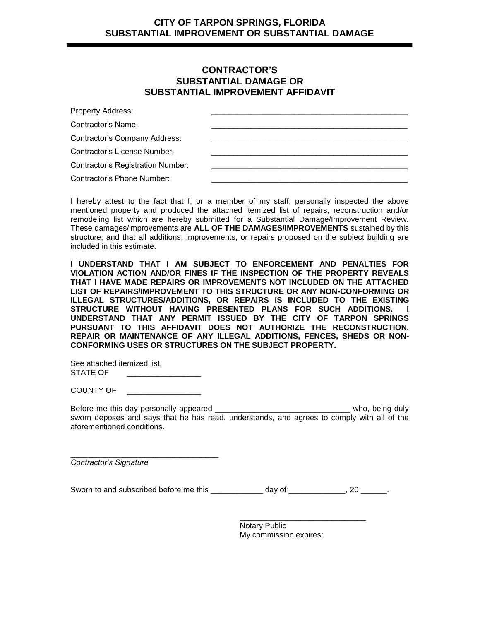## **CONTRACTOR'S SUBSTANTIAL DAMAGE OR SUBSTANTIAL IMPROVEMENT AFFIDAVIT**

| <b>Property Address:</b>          |  |
|-----------------------------------|--|
| Contractor's Name:                |  |
| Contractor's Company Address:     |  |
| Contractor's License Number:      |  |
| Contractor's Registration Number: |  |
| Contractor's Phone Number:        |  |

I hereby attest to the fact that I, or a member of my staff, personally inspected the above mentioned property and produced the attached itemized list of repairs, reconstruction and/or remodeling list which are hereby submitted for a Substantial Damage/Improvement Review. These damages/improvements are **ALL OF THE DAMAGES/IMPROVEMENTS** sustained by this structure, and that all additions, improvements, or repairs proposed on the subject building are included in this estimate.

**I UNDERSTAND THAT I AM SUBJECT TO ENFORCEMENT AND PENALTIES FOR VIOLATION ACTION AND/OR FINES IF THE INSPECTION OF THE PROPERTY REVEALS THAT I HAVE MADE REPAIRS OR IMPROVEMENTS NOT INCLUDED ON THE ATTACHED LIST OF REPAIRS/IMPROVEMENT TO THIS STRUCTURE OR ANY NON-CONFORMING OR ILLEGAL STRUCTURES/ADDITIONS, OR REPAIRS IS INCLUDED TO THE EXISTING STRUCTURE WITHOUT HAVING PRESENTED PLANS FOR SUCH ADDITIONS. I UNDERSTAND THAT ANY PERMIT ISSUED BY THE CITY OF TARPON SPRINGS PURSUANT TO THIS AFFIDAVIT DOES NOT AUTHORIZE THE RECONSTRUCTION, REPAIR OR MAINTENANCE OF ANY ILLEGAL ADDITIONS, FENCES, SHEDS OR NON-CONFORMING USES OR STRUCTURES ON THE SUBJECT PROPERTY.**

See attached itemized list. STATE OF

COUNTY OF \_\_\_\_\_\_\_\_\_\_\_\_\_\_\_\_\_

\_\_\_\_\_\_\_\_\_\_\_\_\_\_\_\_\_\_\_\_\_\_\_\_\_\_\_\_\_\_\_\_\_\_

Before me this day personally appeared \_\_\_\_\_\_\_\_\_\_\_\_\_\_\_\_\_\_\_\_\_\_\_\_\_\_\_\_\_\_\_ who, being duly sworn deposes and says that he has read, understands, and agrees to comply with all of the aforementioned conditions.

*Contractor's Signature*

Sworn to and subscribed before me this \_\_\_\_\_\_\_\_\_\_\_\_ day of \_\_\_\_\_\_\_\_\_\_\_, 20 \_\_\_\_\_.

Notary Public My commission expires:

\_\_\_\_\_\_\_\_\_\_\_\_\_\_\_\_\_\_\_\_\_\_\_\_\_\_\_\_\_